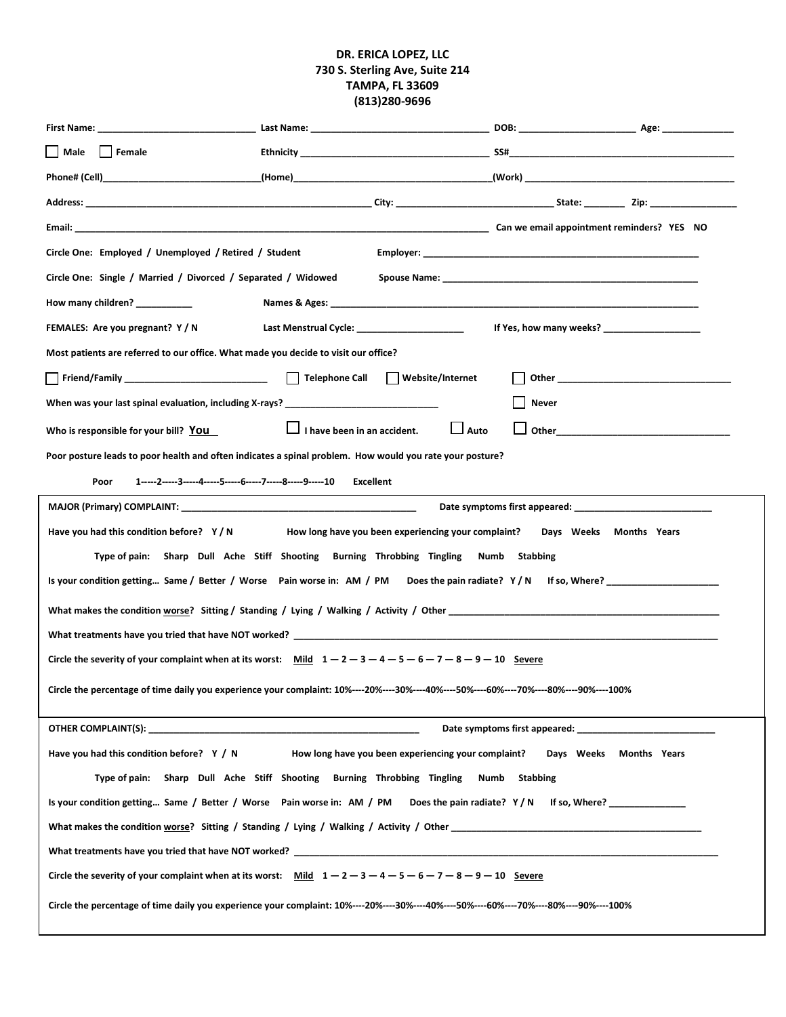#### **DR. ERICA LOPEZ, LLC 730 S. Sterling Ave, Suite 214 TAMPA, FL 33609 (813)280-9696**

| Male<br>  Female                                                                                                                       |                                                                |                                                                                                                                                                                                                                    |                                                                                                               |  |  |  |  |  |
|----------------------------------------------------------------------------------------------------------------------------------------|----------------------------------------------------------------|------------------------------------------------------------------------------------------------------------------------------------------------------------------------------------------------------------------------------------|---------------------------------------------------------------------------------------------------------------|--|--|--|--|--|
|                                                                                                                                        | Phone# (Cell)                 (Home)                    (Work) |                                                                                                                                                                                                                                    |                                                                                                               |  |  |  |  |  |
|                                                                                                                                        |                                                                |                                                                                                                                                                                                                                    |                                                                                                               |  |  |  |  |  |
|                                                                                                                                        |                                                                |                                                                                                                                                                                                                                    |                                                                                                               |  |  |  |  |  |
| Circle One: Employed / Unemployed / Retired / Student                                                                                  |                                                                |                                                                                                                                                                                                                                    |                                                                                                               |  |  |  |  |  |
| Circle One: Single / Married / Divorced / Separated / Widowed                                                                          |                                                                |                                                                                                                                                                                                                                    |                                                                                                               |  |  |  |  |  |
| How many children? ___________                                                                                                         |                                                                |                                                                                                                                                                                                                                    |                                                                                                               |  |  |  |  |  |
| FEMALES: Are you pregnant? Y/N                                                                                                         | Last Menstrual Cycle: _______________________                  | If Yes, how many weeks?                                                                                                                                                                                                            |                                                                                                               |  |  |  |  |  |
| Most patients are referred to our office. What made you decide to visit our office?                                                    |                                                                |                                                                                                                                                                                                                                    |                                                                                                               |  |  |  |  |  |
|                                                                                                                                        | Website/Internet                                               | <b>Other Contract Contract Contract Contract Contract Contract Contract Contract Contract Contract Contract Contract Contract Contract Contract Contract Contract Contract Contract Contract Contract Contract Contract Contra</b> |                                                                                                               |  |  |  |  |  |
| When was your last spinal evaluation, including X-rays? ________________________                                                       |                                                                | Never                                                                                                                                                                                                                              |                                                                                                               |  |  |  |  |  |
| Who is responsible for your bill? You                                                                                                  | $\Box$ Auto<br>$\Box$ I have been in an accident.              |                                                                                                                                                                                                                                    | Other and the contract of the contract of the contract of the contract of the contract of the contract of the |  |  |  |  |  |
| Poor posture leads to poor health and often indicates a spinal problem. How would you rate your posture?                               |                                                                |                                                                                                                                                                                                                                    |                                                                                                               |  |  |  |  |  |
| 1-----2-----3-----4-----5-----6-----7-----8-----9-----10 Excellent<br>Poor                                                             |                                                                |                                                                                                                                                                                                                                    |                                                                                                               |  |  |  |  |  |
|                                                                                                                                        |                                                                |                                                                                                                                                                                                                                    |                                                                                                               |  |  |  |  |  |
| Have you had this condition before? Y/N<br>How long have you been experiencing your complaint? Days Weeks Months Years                 |                                                                |                                                                                                                                                                                                                                    |                                                                                                               |  |  |  |  |  |
| Type of pain: Sharp Dull Ache Stiff Shooting Burning Throbbing Tingling Numb Stabbing                                                  |                                                                |                                                                                                                                                                                                                                    |                                                                                                               |  |  |  |  |  |
| Is your condition getting Same / Better / Worse Pain worse in: AM / PM Does the pain radiate? Y/N If so, Where? ___________________    |                                                                |                                                                                                                                                                                                                                    |                                                                                                               |  |  |  |  |  |
|                                                                                                                                        |                                                                |                                                                                                                                                                                                                                    |                                                                                                               |  |  |  |  |  |
|                                                                                                                                        | What treatments have you tried that have NOT worked?           |                                                                                                                                                                                                                                    |                                                                                                               |  |  |  |  |  |
| Circle the severity of your complaint when at its worst: Mild $1-2-3-4-5-6-7-8-9-10$ Severe                                            |                                                                |                                                                                                                                                                                                                                    |                                                                                                               |  |  |  |  |  |
| Circle the percentage of time daily you experience your complaint: 10%----20%----30%----40%----50%----60%----70%----80%----90%----100% |                                                                |                                                                                                                                                                                                                                    |                                                                                                               |  |  |  |  |  |
|                                                                                                                                        |                                                                |                                                                                                                                                                                                                                    |                                                                                                               |  |  |  |  |  |
|                                                                                                                                        |                                                                |                                                                                                                                                                                                                                    |                                                                                                               |  |  |  |  |  |
| Days Weeks Months Years<br>Have you had this condition before? $Y / N$<br>How long have you been experiencing your complaint?          |                                                                |                                                                                                                                                                                                                                    |                                                                                                               |  |  |  |  |  |
| Type of pain: Sharp Dull Ache Stiff Shooting Burning Throbbing Tingling<br>Numb Stabbing                                               |                                                                |                                                                                                                                                                                                                                    |                                                                                                               |  |  |  |  |  |
| Is your condition getting Same / Better / Worse Pain worse in: AM / PM Does the pain radiate? Y/N If so, Where?                        |                                                                |                                                                                                                                                                                                                                    |                                                                                                               |  |  |  |  |  |
| What makes the condition worse? Sitting / Standing / Lying / Walking / Activity / Other                                                |                                                                |                                                                                                                                                                                                                                    |                                                                                                               |  |  |  |  |  |
|                                                                                                                                        |                                                                |                                                                                                                                                                                                                                    |                                                                                                               |  |  |  |  |  |
| Circle the severity of your complaint when at its worst: Mild $1-2-3-4-5-6-7-8-9-10$ Severe                                            |                                                                |                                                                                                                                                                                                                                    |                                                                                                               |  |  |  |  |  |
| Circle the percentage of time daily you experience your complaint: 10%----20%----30%----40%----50%----60%----70%----80%----90%----100% |                                                                |                                                                                                                                                                                                                                    |                                                                                                               |  |  |  |  |  |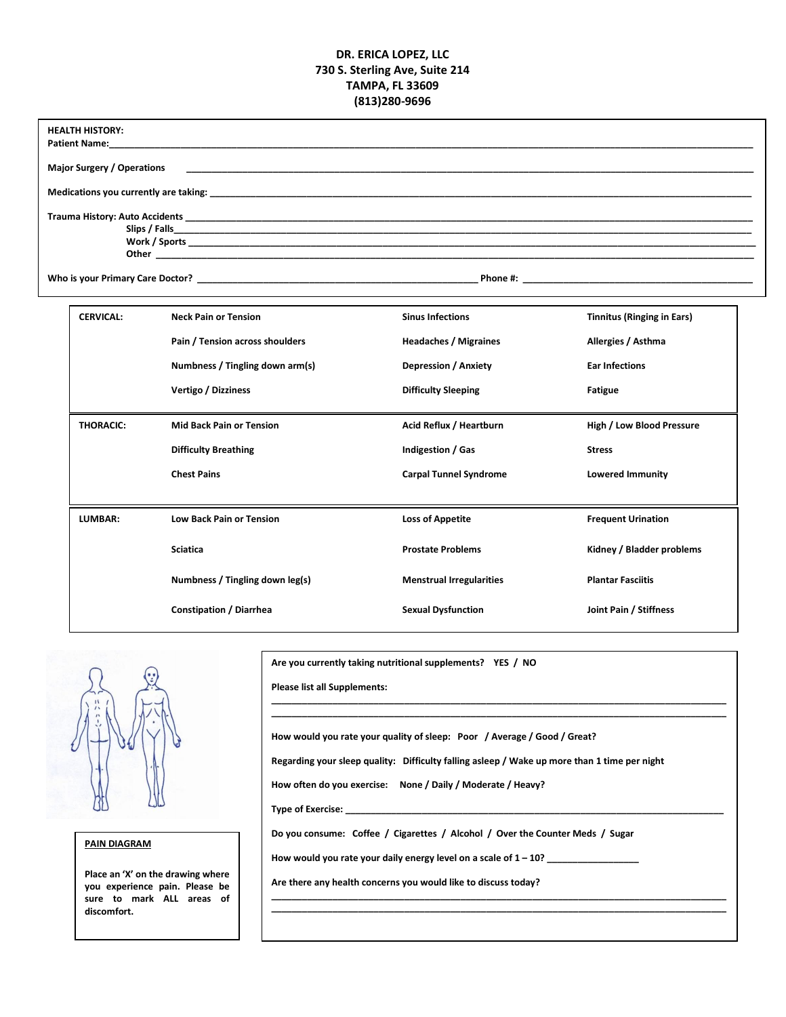#### **DR. ERICA LOPEZ, LLC 730 S. Sterling Ave, Suite 214 TAMPA, FL 33609 (813)280-9696**

| <b>HEALTH HISTORY:</b><br><b>Patient Name:</b> The contract of the contract of the contract of the contract of the contract of the contract of the contract of the contract of the contract of the contract of the contract of the contract of the contract o<br>Major Surgery / Operations<br>Trauma History: Auto Accidents <b>Example 20</b> No. 2014 12:30 No. 2014 12:30 No. 2014 12:30 No. 2014 12:30 No. 2014 |                  |                                                                |                                                         |                                                         |  |  |  |
|----------------------------------------------------------------------------------------------------------------------------------------------------------------------------------------------------------------------------------------------------------------------------------------------------------------------------------------------------------------------------------------------------------------------|------------------|----------------------------------------------------------------|---------------------------------------------------------|---------------------------------------------------------|--|--|--|
|                                                                                                                                                                                                                                                                                                                                                                                                                      |                  |                                                                |                                                         |                                                         |  |  |  |
|                                                                                                                                                                                                                                                                                                                                                                                                                      | <b>CERVICAL:</b> | <b>Neck Pain or Tension</b><br>Pain / Tension across shoulders | <b>Sinus Infections</b><br><b>Headaches / Migraines</b> | <b>Tinnitus (Ringing in Ears)</b><br>Allergies / Asthma |  |  |  |
|                                                                                                                                                                                                                                                                                                                                                                                                                      |                  | Numbness / Tingling down arm(s)                                | <b>Depression / Anxiety</b>                             | <b>Ear Infections</b>                                   |  |  |  |
|                                                                                                                                                                                                                                                                                                                                                                                                                      |                  | Vertigo / Dizziness                                            | <b>Difficulty Sleeping</b>                              | Fatigue                                                 |  |  |  |
|                                                                                                                                                                                                                                                                                                                                                                                                                      | <b>THORACIC:</b> | <b>Mid Back Pain or Tension</b>                                | Acid Reflux / Heartburn                                 | High / Low Blood Pressure                               |  |  |  |
|                                                                                                                                                                                                                                                                                                                                                                                                                      |                  | <b>Difficulty Breathing</b>                                    | Indigestion / Gas                                       | <b>Stress</b>                                           |  |  |  |
|                                                                                                                                                                                                                                                                                                                                                                                                                      |                  | <b>Chest Pains</b>                                             | <b>Carpal Tunnel Syndrome</b>                           | <b>Lowered Immunity</b>                                 |  |  |  |
|                                                                                                                                                                                                                                                                                                                                                                                                                      | LUMBAR:          | <b>Low Back Pain or Tension</b>                                | <b>Loss of Appetite</b>                                 | <b>Frequent Urination</b>                               |  |  |  |
|                                                                                                                                                                                                                                                                                                                                                                                                                      |                  | <b>Sciatica</b>                                                | <b>Prostate Problems</b>                                | Kidney / Bladder problems                               |  |  |  |
|                                                                                                                                                                                                                                                                                                                                                                                                                      |                  | Numbness / Tingling down leg(s)                                | <b>Menstrual Irregularities</b>                         | <b>Plantar Fasciitis</b>                                |  |  |  |
|                                                                                                                                                                                                                                                                                                                                                                                                                      |                  | <b>Constipation / Diarrhea</b>                                 | <b>Sexual Dysfunction</b>                               | Joint Pain / Stiffness                                  |  |  |  |

#### **\_\_\_\_\_\_\_\_\_\_\_\_\_\_\_\_\_\_\_\_\_\_\_\_\_\_\_\_\_\_\_\_\_\_\_\_\_\_\_\_\_\_\_\_\_\_\_\_\_\_\_\_\_\_\_\_\_\_\_\_\_\_\_\_\_\_\_\_\_\_\_\_\_\_\_\_\_\_\_\_\_\_\_\_\_\_\_\_\_ \_\_\_\_\_\_\_\_\_\_\_\_\_\_\_\_\_\_\_\_\_\_\_\_\_\_\_\_\_\_\_\_\_\_\_\_\_\_\_\_\_\_\_\_\_\_\_\_\_\_\_\_\_\_\_\_\_\_\_\_\_\_\_\_\_\_\_\_\_\_\_\_\_\_\_\_\_\_\_\_\_\_\_\_\_\_\_\_\_**

**Please list all Supplements:** 

**How would you rate your quality of sleep: Poor / Average / Good / Great?**

**Regarding your sleep quality: Difficulty falling asleep / Wake up more than 1 time per night**

**How often do you exercise: None / Daily / Moderate / Heavy?**

**Are you currently taking nutritional supplements? YES / NO**

**Type of Exercise: \_\_\_\_\_\_\_\_\_\_\_\_\_\_\_\_\_\_\_\_\_\_\_\_\_\_\_\_\_\_\_\_\_\_\_\_\_\_\_\_\_\_\_\_\_\_\_\_\_\_\_\_\_\_\_\_\_\_\_\_\_\_\_\_\_\_\_\_\_\_\_\_\_\_**

**Do you consume: Coffee / Cigarettes / Alcohol / Over the Counter Meds / Sugar**

**\_\_\_\_\_\_\_\_\_\_\_\_\_\_\_\_\_\_\_\_\_\_\_\_\_\_\_\_\_\_\_\_\_\_\_\_\_\_\_\_\_\_\_\_\_\_\_\_\_\_\_\_\_\_\_\_\_\_\_\_\_\_\_\_\_\_\_\_\_\_\_\_\_\_\_\_\_\_\_\_\_\_\_\_\_\_\_\_\_ \_\_\_\_\_\_\_\_\_\_\_\_\_\_\_\_\_\_\_\_\_\_\_\_\_\_\_\_\_\_\_\_\_\_\_\_\_\_\_\_\_\_\_\_\_\_\_\_\_\_\_\_\_\_\_\_\_\_\_\_\_\_\_\_\_\_\_\_\_\_\_\_\_\_\_\_\_\_\_\_\_\_\_\_\_\_\_\_\_**

How would you rate your daily energy level on a scale of  $1 - 10$ ?

**Are there any health concerns you would like to discuss today?** 

**PAIN DIAGRAM** 

**Place an 'X' on the drawing where you experience pain. Please be sure to mark ALL areas of discomfort.**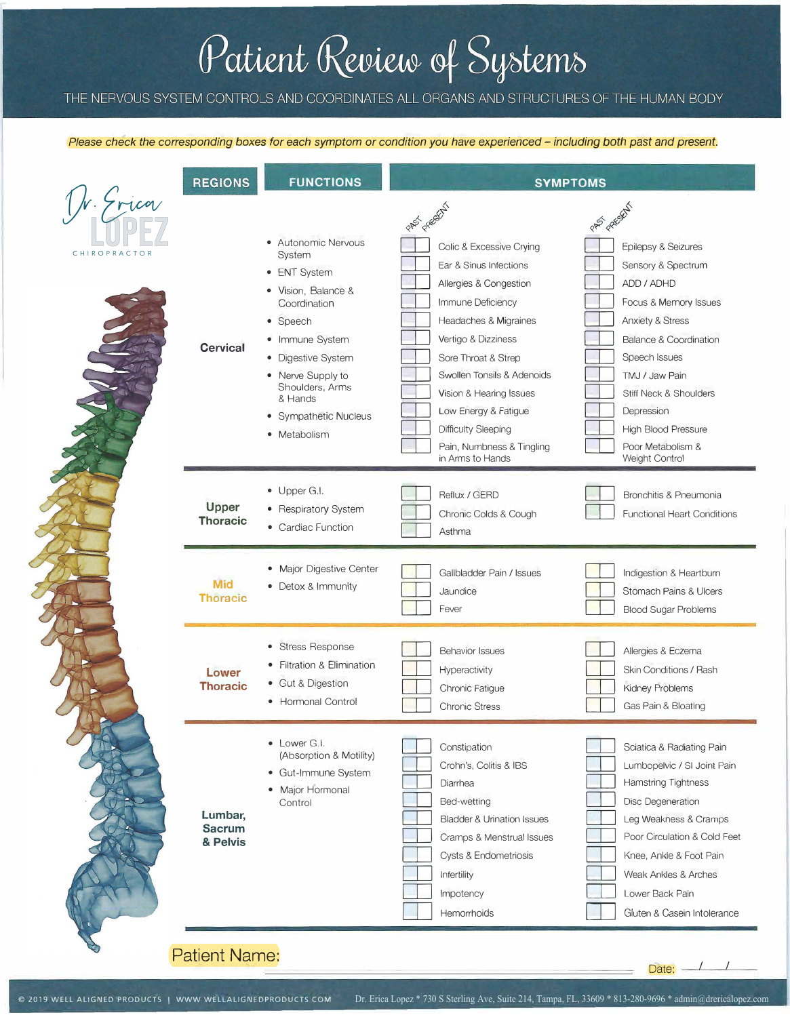# Patient Review of Systems

## THE NERVOUS SYSTEM CONTROLS AND COORDINATES ALL ORGANS AND STRUCTURES OF THE HUMAN BODY

#### *Please check the corresponding* boxes *for each symptom or condition you have experienced - including both past and present.*

|                          | <b>REGIONS</b>                       | <b>FUNCTIONS</b>                                                                                                                                                                                                                      | <b>SYMPTOMS</b>                                                                                                                                                                                                                                                                                                                                                    |                                                                                                                                                                                                                                                                                                                                |
|--------------------------|--------------------------------------|---------------------------------------------------------------------------------------------------------------------------------------------------------------------------------------------------------------------------------------|--------------------------------------------------------------------------------------------------------------------------------------------------------------------------------------------------------------------------------------------------------------------------------------------------------------------------------------------------------------------|--------------------------------------------------------------------------------------------------------------------------------------------------------------------------------------------------------------------------------------------------------------------------------------------------------------------------------|
| le Grica<br>CHIROPRACTOR | <b>Cervical</b>                      | • Autonomic Nervous<br>System<br>• ENT System<br>• Vision, Balance &<br>Coordination<br>• Speech<br>• Immune System<br>· Digestive System<br>• Nerve Supply to<br>Shoulders, Arms<br>& Hands<br>• Sympathetic Nucleus<br>• Metabolism | PASS PASSEN<br>Colic & Excessive Crying<br>Ear & Sinus Infections<br>Allergies & Congestion<br>Immune Deficiency<br><b>Headaches &amp; Migraines</b><br>Vertigo & Dizziness<br>Sore Throat & Strep<br>Swollen Tonsils & Adenoids<br>Vision & Hearing Issues<br>Low Energy & Fatigue<br><b>Difficulty Sleeping</b><br>Pain, Numbness & Tingling<br>in Arms to Hands | PASS PARSAL<br>Epilepsy & Seizures<br>Sensory & Spectrum<br>ADD / ADHD<br>Focus & Memory Issues<br><b>Anxiety &amp; Stress</b><br><b>Balance &amp; Coordination</b><br>Speech Issues<br>TMJ / Jaw Pain<br><b>Stiff Neck &amp; Shoulders</b><br>Depression<br><b>High Blood Pressure</b><br>Poor Metabolism &<br>Weight Control |
|                          | Upper<br><b>Thoracic</b>             | • Upper G.I.<br>• Respiratory System<br>• Cardiac Function                                                                                                                                                                            | Reflux / GERD<br>Chronic Colds & Cough<br>Asthma                                                                                                                                                                                                                                                                                                                   | Bronchitis & Pneumonia<br><b>Functional Heart Conditions</b>                                                                                                                                                                                                                                                                   |
|                          | <b>Mid</b><br><b>Thoracic</b>        | · Major Digestive Center<br>• Detox & Immunity                                                                                                                                                                                        | Gallbladder Pain / Issues<br>Jaundice<br>Fever                                                                                                                                                                                                                                                                                                                     | Indigestion & Heartburn<br><b>Stomach Pains &amp; Ulcers</b><br><b>Blood Sugar Problems</b>                                                                                                                                                                                                                                    |
|                          | Lower<br><b>Thoracic</b>             | • Stress Response<br>• Filtration & Elimination<br>• Gut & Digestion<br>• Hormonal Control                                                                                                                                            | <b>Behavior Issues</b><br>Hyperactivity<br>Chronic Fatigue<br><b>Chronic Stress</b>                                                                                                                                                                                                                                                                                | Allergies & Eczema<br><b>Skin Conditions / Rash</b><br>Kidney Problems<br>Gas Pain & Bloating                                                                                                                                                                                                                                  |
|                          | Lumbar,<br><b>Sacrum</b><br>& Pelvis | • Lower G.I.<br>(Absorption & Motility)<br>• Gut-Immune System<br>• Major Hormonal<br>Control                                                                                                                                         | Constipation<br>Crohn's, Colitis & IBS<br>Diarrhea<br>Bed-wetting<br><b>Bladder &amp; Urination Issues</b><br>Cramps & Menstrual Issues<br><b>Cysts &amp; Endometriosis</b><br>Infertility<br>Impotency<br>Hemorrhoids                                                                                                                                             | Sciatica & Radiating Pain<br>Lumbopelvic / SI Joint Pain<br><b>Hamstring Tightness</b><br>Disc Degeneration<br>Leg Weakness & Cramps<br>Poor Circulation & Cold Feet<br>Knee, Ankle & Foot Pain<br>Weak Ankles & Arches<br>Lower Back Pain<br>Gluten & Casein Intolerance                                                      |

# Patient Name:

 $\overline{\mathcal{E}}$ 

Ś,

Date:  $\sqrt{2}$ 

/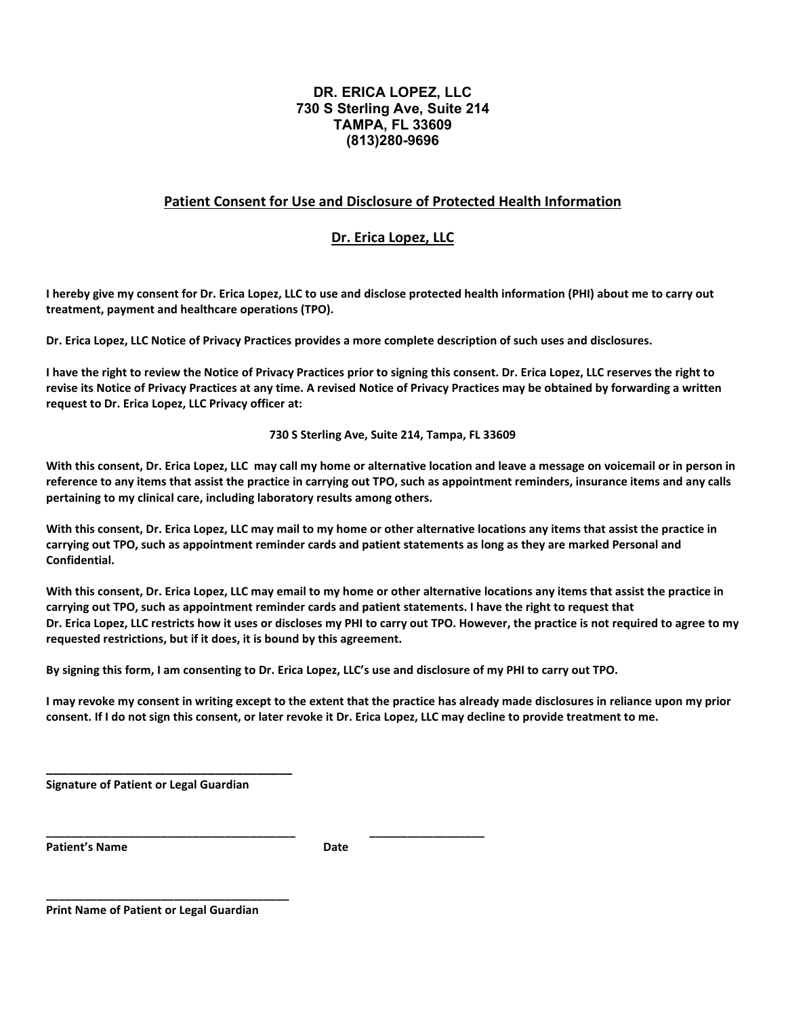#### **DR. ERICA LOPEZ, LLC 730 S Sterling Ave, Suite 214 TAMPA, FL 33609 (813)280-9696**

#### **Patient Consent for Use and Disclosure of Protected Health Information**

#### **Dr. Erica Lopez, LLC**

**I hereby give my consent for Dr. Erica Lopez, LLC to use and disclose protected health information (PHI) about me to carry out treatment, payment and healthcare operations (TPO).**

**Dr. Erica Lopez, LLC Notice of Privacy Practices provides a more complete description of such uses and disclosures.**

**I have the right to review the Notice of Privacy Practices prior to signing this consent. Dr. Erica Lopez, LLC reserves the right to revise its Notice of Privacy Practices at any time. A revised Notice of Privacy Practices may be obtained by forwarding a written request to Dr. Erica Lopez, LLC Privacy officer at:**

**730 S Sterling Ave, Suite 214, Tampa, FL 33609**

**With this consent, Dr. Erica Lopez, LLC may call my home or alternative location and leave a message on voicemail or in person in reference to any items that assist the practice in carrying out TPO, such as appointment reminders, insurance items and any calls pertaining to my clinical care, including laboratory results among others.**

**With this consent, Dr. Erica Lopez, LLC may mail to my home or other alternative locations any items that assist the practice in carrying out TPO, such as appointment reminder cards and patient statements as long as they are marked Personal and Confidential.**

**With this consent, Dr. Erica Lopez, LLC may email to my home or other alternative locations any items that assist the practice in carrying out TPO, such as appointment reminder cards and patient statements. I have the right to request that Dr. Erica Lopez, LLC restricts how it uses or discloses my PHI to carry out TPO. However, the practice is not required to agree to my requested restrictions, but if it does, it is bound by this agreement.**

**By signing this form, I am consenting to Dr. Erica Lopez, LLC's use and disclosure of my PHI to carry out TPO.**

**I may revoke my consent in writing except to the extent that the practice has already made disclosures in reliance upon my prior consent. If I do not sign this consent, or later revoke it Dr. Erica Lopez, LLC may decline to provide treatment to me.**

**Signature of Patient or Legal Guardian**

**\_\_\_\_\_\_\_\_\_\_\_\_\_\_\_\_\_\_\_\_\_\_\_\_\_\_\_\_\_\_\_\_\_\_\_**

**Patient's Name Date** 

**\_\_\_\_\_\_\_\_\_\_\_\_\_\_\_\_\_\_\_\_\_\_\_\_\_\_\_\_\_\_\_\_\_\_\_\_\_\_\_ \_\_\_\_\_\_\_\_\_\_\_\_\_\_\_\_\_\_**

**Print Name of Patient or Legal Guardian**

**\_\_\_\_\_\_\_\_\_\_\_\_\_\_\_\_\_\_\_\_\_\_\_\_\_\_\_\_\_\_\_\_\_\_\_\_\_\_**